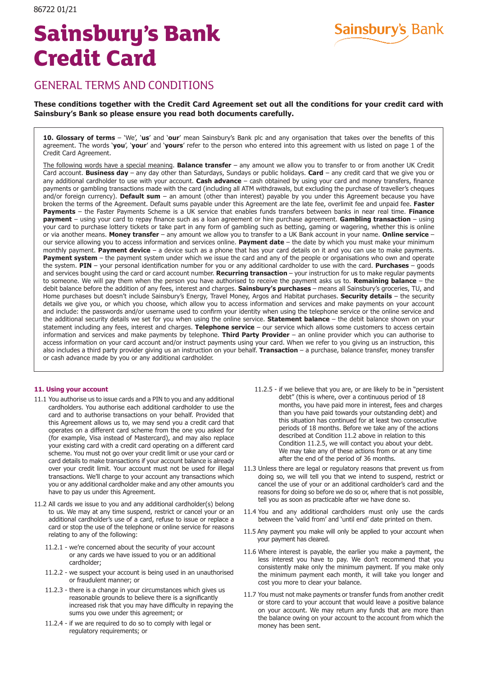# **Sainsbury's Bank Credit Card**



# GENERAL TERMS AND CONDITIONS

## **These conditions together with the Credit Card Agreement set out all the conditions for your credit card with Sainsbury's Bank so please ensure you read both documents carefully.**

**10. Glossary of terms** – 'We', '**us**' and '**our**' mean Sainsbury's Bank plc and any organisation that takes over the benefits of this agreement. The words '**you**', '**your**' and '**yours**' refer to the person who entered into this agreement with us listed on page 1 of the Credit Card Agreement.

The following words have a special meaning. **Balance transfer** – any amount we allow you to transfer to or from another UK Credit Card account. **Business day** – any day other than Saturdays, Sundays or public holidays. **Card** – any credit card that we give you or any additional cardholder to use with your account. **Cash advance** – cash obtained by using your card and money transfers, finance payments or gambling transactions made with the card (including all ATM withdrawals, but excluding the purchase of traveller's cheques and/or foreign currency). **Default sum** – an amount (other than interest) payable by you under this Agreement because you have broken the terms of the Agreement. Default sums payable under this Agreement are the late fee, overlimit fee and unpaid fee. **Faster Payments** – the Faster Payments Scheme is a UK service that enables funds transfers between banks in near real time. **Finance payment** – using your card to repay finance such as a loan agreement or hire purchase agreement. **Gambling transaction** – using your card to purchase lottery tickets or take part in any form of gambling such as betting, gaming or wagering, whether this is online or via another means. **Money transfer** – any amount we allow you to transfer to a UK Bank account in your name. **Online service** – our service allowing you to access information and services online. **Payment date** – the date by which you must make your minimum monthly payment. **Payment device** – a device such as a phone that has your card details on it and you can use to make payments. **Payment system** – the payment system under which we issue the card and any of the people or organisations who own and operate the system. **PIN** – your personal identification number for you or any additional cardholder to use with the card. **Purchases** – goods and services bought using the card or card account number. **Recurring transaction** – your instruction for us to make regular payments to someone. We will pay them when the person you have authorised to receive the payment asks us to. **Remaining balance** – the debit balance before the addition of any fees, interest and charges. **Sainsbury's purchases** – means all Sainsbury's groceries, TU, and Home purchases but doesn't include Sainsbury's Energy, Travel Money, Argos and Habitat purchases. **Security details** – the security details we give you, or which you choose, which allow you to access information and services and make payments on your account and include: the passwords and/or username used to confirm your identity when using the telephone service or the online service and the additional security details we set for you when using the online service. **Statement balance** – the debit balance shown on your statement including any fees, interest and charges. **Telephone service** – our service which allows some customers to access certain information and services and make payments by telephone. **Third Party Provider** – an online provider which you can authorise to access information on your card account and/or instruct payments using your card. When we refer to you giving us an instruction, this also includes a third party provider giving us an instruction on your behalf. **Transaction** – a purchase, balance transfer, money transfer or cash advance made by you or any additional cardholder.

### **11. Using your account**

- 11.1 You authorise us to issue cards and a PIN to you and any additional cardholders. You authorise each additional cardholder to use the card and to authorise transactions on your behalf. Provided that this Agreement allows us to, we may send you a credit card that operates on a different card scheme from the one you asked for (for example, Visa instead of Mastercard), and may also replace your existing card with a credit card operating on a different card scheme. You must not go over your credit limit or use your card or card details to make transactions if your account balance is already over your credit limit. Your account must not be used for illegal transactions. We'll charge to your account any transactions which you or any additional cardholder make and any other amounts you have to pay us under this Agreement.
- 11.2 All cards we issue to you and any additional cardholder(s) belong to us. We may at any time suspend, restrict or cancel your or an additional cardholder's use of a card, refuse to issue or replace a card or stop the use of the telephone or online service for reasons relating to any of the following:
	- 11.2.1 we're concerned about the security of your account or any cards we have issued to you or an additional cardholder;
	- 11.2.2 we suspect your account is being used in an unauthorised or fraudulent manner; or
	- 11.2.3 there is a change in your circumstances which gives us reasonable grounds to believe there is a significantly increased risk that you may have difficulty in repaying the sums you owe under this agreement; or
	- 11.2.4 if we are required to do so to comply with legal or regulatory requirements; or
- 11.2.5 if we believe that you are, or are likely to be in "persistent debt" (this is where, over a continuous period of 18 months, you have paid more in interest, fees and charges than you have paid towards your outstanding debt) and this situation has continued for at least two consecutive periods of 18 months. Before we take any of the actions described at Condition 11.2 above in relation to this Condition 11.2.5, we will contact you about your debt. We may take any of these actions from or at any time after the end of the period of 36 months.
- 11.3 Unless there are legal or regulatory reasons that prevent us from doing so, we will tell you that we intend to suspend, restrict or cancel the use of your or an additional cardholder's card and the reasons for doing so before we do so or, where that is not possible, tell you as soon as practicable after we have done so.
- 11.4 You and any additional cardholders must only use the cards between the 'valid from' and 'until end' date printed on them.
- 11.5 Any payment you make will only be applied to your account when your payment has cleared.
- 11.6 Where interest is payable, the earlier you make a payment, the less interest you have to pay. We don't recommend that you consistently make only the minimum payment. If you make only the minimum payment each month, it will take you longer and cost you more to clear your balance.
- 11.7 You must not make payments or transfer funds from another credit or store card to your account that would leave a positive balance on your account. We may return any funds that are more than the balance owing on your account to the account from which the money has been sent.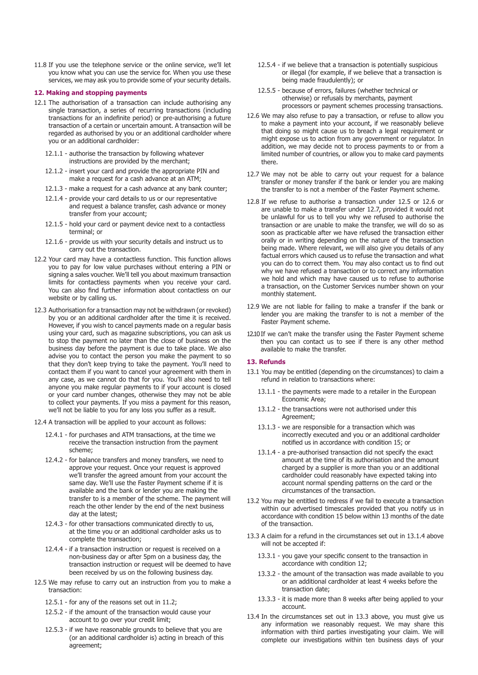11.8 If you use the telephone service or the online service, we'll let you know what you can use the service for. When you use these services, we may ask you to provide some of your security details.

#### **12. Making and stopping payments**

- 12.1 The authorisation of a transaction can include authorising any single transaction, a series of recurring transactions (including transactions for an indefinite period) or pre-authorising a future transaction of a certain or uncertain amount. A transaction will be regarded as authorised by you or an additional cardholder where you or an additional cardholder:
	- 12.1.1 authorise the transaction by following whatever instructions are provided by the merchant;
	- 12.1.2 insert your card and provide the appropriate PIN and make a request for a cash advance at an ATM;
	- 12.1.3 make a request for a cash advance at any bank counter;
	- 12.1.4 provide your card details to us or our representative and request a balance transfer, cash advance or money transfer from your account;
	- 12.1.5 hold your card or payment device next to a contactless terminal; or
	- 12.1.6 provide us with your security details and instruct us to carry out the transaction.
- 12.2 Your card may have a contactless function. This function allows you to pay for low value purchases without entering a PIN or signing a sales voucher. We'll tell you about maximum transaction limits for contactless payments when you receive your card. You can also find further information about contactless on our website or by calling us.
- 12.3 Authorisation for a transaction may not be withdrawn (or revoked) by you or an additional cardholder after the time it is received. However, if you wish to cancel payments made on a regular basis using your card, such as magazine subscriptions, you can ask us to stop the payment no later than the close of business on the business day before the payment is due to take place. We also advise you to contact the person you make the payment to so that they don't keep trying to take the payment. You'll need to contact them if you want to cancel your agreement with them in any case, as we cannot do that for you. You'll also need to tell anyone you make regular payments to if your account is closed or your card number changes, otherwise they may not be able to collect your payments. If you miss a payment for this reason, we'll not be liable to you for any loss you suffer as a result.
- 12.4 A transaction will be applied to your account as follows:
	- 12.4.1 for purchases and ATM transactions, at the time we receive the transaction instruction from the payment scheme;
	- 12.4.2 for balance transfers and money transfers, we need to approve your request. Once your request is approved we'll transfer the agreed amount from your account the same day. We'll use the Faster Payment scheme if it is available and the bank or lender you are making the transfer to is a member of the scheme. The payment will reach the other lender by the end of the next business day at the latest;
	- 12.4.3 for other transactions communicated directly to us, at the time you or an additional cardholder asks us to complete the transaction;
	- 12.4.4 if a transaction instruction or request is received on a non-business day or after 5pm on a business day, the transaction instruction or request will be deemed to have been received by us on the following business day.
- 12.5 We may refuse to carry out an instruction from you to make a transaction:
	- 12.5.1 for any of the reasons set out in 11.2;
	- 12.5.2 if the amount of the transaction would cause your account to go over your credit limit;
	- 12.5.3 if we have reasonable grounds to believe that you are (or an additional cardholder is) acting in breach of this agreement;
- 12.5.4 if we believe that a transaction is potentially suspicious or illegal (for example, if we believe that a transaction is being made fraudulently); or
- 12.5.5 because of errors, failures (whether technical or otherwise) or refusals by merchants, payment processors or payment schemes processing transactions.
- 12.6 We may also refuse to pay a transaction, or refuse to allow you to make a payment into your account, if we reasonably believe that doing so might cause us to breach a legal requirement or might expose us to action from any government or regulator. In addition, we may decide not to process payments to or from a limited number of countries, or allow you to make card payments there.
- 12.7 We may not be able to carry out your request for a balance transfer or money transfer if the bank or lender you are making the transfer to is not a member of the Faster Payment scheme.
- 12.8 If we refuse to authorise a transaction under 12.5 or 12.6 or are unable to make a transfer under 12.7, provided it would not be unlawful for us to tell you why we refused to authorise the transaction or are unable to make the transfer, we will do so as soon as practicable after we have refused the transaction either orally or in writing depending on the nature of the transaction being made. Where relevant, we will also give you details of any factual errors which caused us to refuse the transaction and what you can do to correct them. You may also contact us to find out why we have refused a transaction or to correct any information we hold and which may have caused us to refuse to authorise a transaction, on the Customer Services number shown on your monthly statement.
- 12.9 We are not liable for failing to make a transfer if the bank or lender you are making the transfer to is not a member of the Faster Payment scheme.
- 12.10If we can't make the transfer using the Faster Payment scheme then you can contact us to see if there is any other method available to make the transfer.

#### **13. Refunds**

- 13.1 You may be entitled (depending on the circumstances) to claim a refund in relation to transactions where:
	- 13.1.1 the payments were made to a retailer in the European Economic Area;
	- 13.1.2 the transactions were not authorised under this Agreement;
	- 13.1.3 we are responsible for a transaction which was incorrectly executed and you or an additional cardholder notified us in accordance with condition 15; or
	- 13.1.4 a pre-authorised transaction did not specify the exact amount at the time of its authorisation and the amount charged by a supplier is more than you or an additional cardholder could reasonably have expected taking into account normal spending patterns on the card or the circumstances of the transaction.
- 13.2 You may be entitled to redress if we fail to execute a transaction within our advertised timescales provided that you notify us in accordance with condition 15 below within 13 months of the date of the transaction.
- 13.3 A claim for a refund in the circumstances set out in 13.1.4 above will not be accepted if:
	- 13.3.1 you gave your specific consent to the transaction in accordance with condition 12;
	- 13.3.2 the amount of the transaction was made available to you or an additional cardholder at least 4 weeks before the transaction date;
	- 13.3.3 it is made more than 8 weeks after being applied to your account.
- 13.4 In the circumstances set out in 13.3 above, you must give us any information we reasonably request. We may share this information with third parties investigating your claim. We will complete our investigations within ten business days of your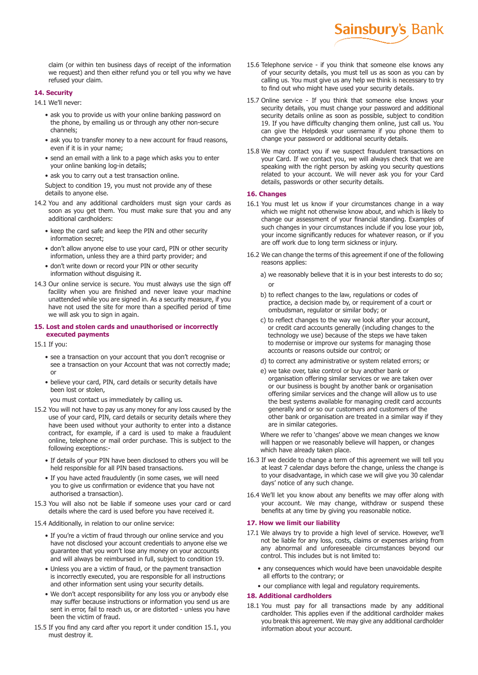claim (or within ten business days of receipt of the information we request) and then either refund you or tell you why we have refused your claim.

#### **14. Security**

14.1 We'll never:

- ask you to provide us with your online banking password on the phone, by emailing us or through any other non-secure channels;
- ask you to transfer money to a new account for fraud reasons, even if it is in your name;
- send an email with a link to a page which asks you to enter your online banking log-in details;
- ask you to carry out a test transaction online.

Subject to condition 19, you must not provide any of these details to anyone else.

- 14.2 You and any additional cardholders must sign your cards as soon as you get them. You must make sure that you and any additional cardholders:
	- keep the card safe and keep the PIN and other security information secret;
	- don't allow anyone else to use your card, PIN or other security information, unless they are a third party provider; and
	- don't write down or record your PIN or other security information without disguising it.
- 14.3 Our online service is secure. You must always use the sign off facility when you are finished and never leave your machine unattended while you are signed in. As a security measure, if you have not used the site for more than a specified period of time we will ask you to sign in again.

#### **15. Lost and stolen cards and unauthorised or incorrectly executed payments**

15.1 If you:

- see a transaction on your account that you don't recognise or see a transaction on your Account that was not correctly made; or
- believe your card, PIN, card details or security details have been lost or stolen,

you must contact us immediately by calling us.

- 15.2 You will not have to pay us any money for any loss caused by the use of your card, PIN, card details or security details where they have been used without your authority to enter into a distance contract, for example, if a card is used to make a fraudulent online, telephone or mail order purchase. This is subject to the following exceptions:-
	- If details of your PIN have been disclosed to others you will be held responsible for all PIN based transactions.
	- If you have acted fraudulently (in some cases, we will need you to give us confirmation or evidence that you have not authorised a transaction).
- 15.3 You will also not be liable if someone uses your card or card details where the card is used before you have received it.
- 15.4 Additionally, in relation to our online service:
	- If you're a victim of fraud through our online service and you have not disclosed your account credentials to anyone else we guarantee that you won't lose any money on your accounts and will always be reimbursed in full, subject to condition 19.
	- Unless you are a victim of fraud, or the payment transaction is incorrectly executed, you are responsible for all instructions and other information sent using your security details.
	- We don't accept responsibility for any loss you or anybody else may suffer because instructions or information you send us are sent in error, fail to reach us, or are distorted - unless you have been the victim of fraud.
- 15.5 If you find any card after you report it under condition 15.1, you must destroy it.

15.6 Telephone service - if you think that someone else knows any of your security details, you must tell us as soon as you can by calling us. You must give us any help we think is necessary to try to find out who might have used your security details.

**Sainsbury's Bank** 

- 15.7 Online service If you think that someone else knows your security details, you must change your password and additional security details online as soon as possible, subject to condition 19. If you have difficulty changing them online, just call us. You can give the Helpdesk your username if you phone them to change your password or additional security details.
- 15.8 We may contact you if we suspect fraudulent transactions on your Card. If we contact you, we will always check that we are speaking with the right person by asking you security questions related to your account. We will never ask you for your Card details, passwords or other security details.

#### **16. Changes**

- 16.1 You must let us know if your circumstances change in a way which we might not otherwise know about, and which is likely to change our assessment of your financial standing. Examples of such changes in your circumstances include if you lose your job, your income significantly reduces for whatever reason, or if you are off work due to long term sickness or injury.
- 16.2 We can change the terms of this agreement if one of the following reasons applies:
	- a) we reasonably believe that it is in your best interests to do so; or
	- b) to reflect changes to the law, regulations or codes of practice, a decision made by, or requirement of a court or ombudsman, regulator or similar body; or
	- c) to reflect changes to the way we look after your account, or credit card accounts generally (including changes to the technology we use) because of the steps we have taken to modernise or improve our systems for managing those accounts or reasons outside our control; or
	- d) to correct any administrative or system related errors; or
	- e) we take over, take control or buy another bank or organisation offering similar services or we are taken over or our business is bought by another bank or organisation offering similar services and the change will allow us to use the best systems available for managing credit card accounts generally and or so our customers and customers of the other bank or organisation are treated in a similar way if they are in similar categories.

Where we refer to 'changes' above we mean changes we know will happen or we reasonably believe will happen, or changes which have already taken place.

- 16.3 If we decide to change a term of this agreement we will tell you at least 7 calendar days before the change, unless the change is to your disadvantage, in which case we will give you 30 calendar days' notice of any such change.
- 16.4 We'll let you know about any benefits we may offer along with your account. We may change, withdraw or suspend these benefits at any time by giving you reasonable notice.

#### **17. How we limit our liability**

- 17.1 We always try to provide a high level of service. However, we'll not be liable for any loss, costs, claims or expenses arising from any abnormal and unforeseeable circumstances beyond our control. This includes but is not limited to:
	- any consequences which would have been unavoidable despite all efforts to the contrary; or
	- our compliance with legal and regulatory requirements.

#### **18. Additional cardholders**

18.1 You must pay for all transactions made by any additional cardholder. This applies even if the additional cardholder makes you break this agreement. We may give any additional cardholder information about your account.